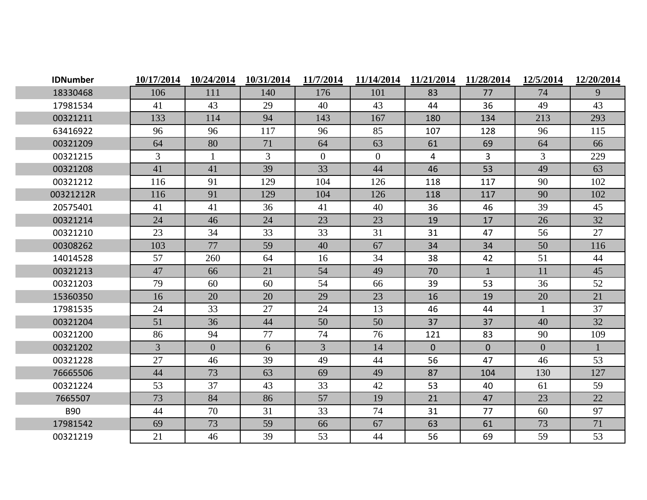| <b>IDNumber</b> | 10/17/2014     | 10/24/2014     | 10/31/2014     | 11/7/2014      | 11/14/2014     | 11/21/2014     | 11/28/2014     | 12/5/2014      | 12/20/2014 |
|-----------------|----------------|----------------|----------------|----------------|----------------|----------------|----------------|----------------|------------|
| 18330468        | 106            | 111            | 140            | 176            | 101            | 83             | 77             | 74             | 9          |
| 17981534        | 41             | 43             | 29             | 40             | 43             | 44             | 36             | 49             | 43         |
| 00321211        | 133            | 114            | 94             | 143            | 167            | 180            | 134            | 213            | 293        |
| 63416922        | 96             | 96             | 117            | 96             | 85             | 107            | 128            | 96             | 115        |
| 00321209        | 64             | 80             | 71             | 64             | 63             | 61             | 69             | 64             | 66         |
| 00321215        | $\overline{3}$ | $\mathbf{1}$   | $\mathfrak{Z}$ | $\overline{0}$ | $\overline{0}$ | 4              | $\overline{3}$ | 3              | 229        |
| 00321208        | 41             | 41             | 39             | 33             | 44             | 46             | 53             | 49             | 63         |
| 00321212        | 116            | 91             | 129            | 104            | 126            | 118            | 117            | 90             | 102        |
| 00321212R       | 116            | 91             | 129            | 104            | 126            | 118            | 117            | 90             | 102        |
| 20575401        | 41             | 41             | 36             | 41             | 40             | 36             | 46             | 39             | 45         |
| 00321214        | 24             | 46             | 24             | 23             | 23             | 19             | 17             | 26             | 32         |
| 00321210        | 23             | 34             | 33             | 33             | 31             | 31             | 47             | 56             | 27         |
| 00308262        | 103            | 77             | 59             | 40             | 67             | 34             | 34             | 50             | 116        |
| 14014528        | 57             | 260            | 64             | 16             | 34             | 38             | 42             | 51             | 44         |
| 00321213        | 47             | 66             | 21             | 54             | 49             | 70             | $\mathbf{1}$   | 11             | 45         |
| 00321203        | 79             | 60             | 60             | 54             | 66             | 39             | 53             | 36             | 52         |
| 15360350        | 16             | 20             | 20             | 29             | 23             | 16             | 19             | 20             | 21         |
| 17981535        | 24             | 33             | 27             | 24             | 13             | 46             | 44             | $\mathbf{1}$   | 37         |
| 00321204        | 51             | 36             | 44             | 50             | 50             | 37             | 37             | 40             | 32         |
| 00321200        | 86             | 94             | 77             | 74             | 76             | 121            | 83             | 90             | 109        |
| 00321202        | $\overline{3}$ | $\overline{0}$ | 6              | $\mathfrak{Z}$ | 14             | $\overline{0}$ | $\overline{0}$ | $\overline{0}$ |            |
| 00321228        | 27             | 46             | 39             | 49             | 44             | 56             | 47             | 46             | 53         |
| 76665506        | 44             | 73             | 63             | 69             | 49             | 87             | 104            | 130            | 127        |
| 00321224        | 53             | 37             | 43             | 33             | 42             | 53             | 40             | 61             | 59         |
| 7665507         | 73             | 84             | 86             | 57             | 19             | 21             | 47             | 23             | 22         |
| <b>B90</b>      | 44             | 70             | 31             | 33             | 74             | 31             | 77             | 60             | 97         |
| 17981542        | 69             | 73             | 59             | 66             | 67             | 63             | 61             | 73             | 71         |
| 00321219        | 21             | 46             | 39             | 53             | 44             | 56             | 69             | 59             | 53         |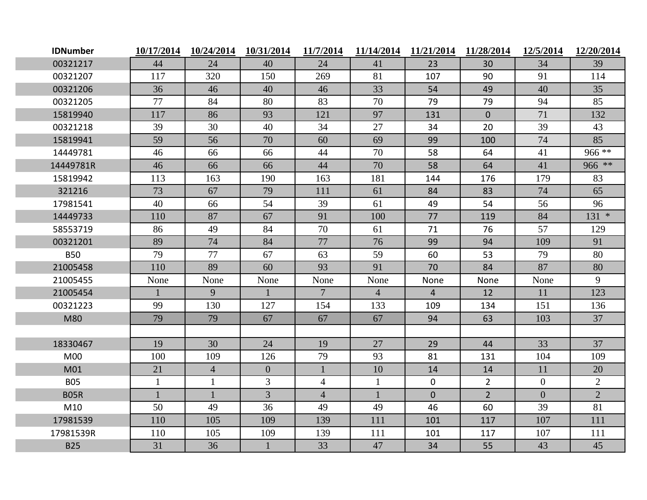| <b>IDNumber</b> | 10/17/2014   | 10/24/2014     | 10/31/2014     | 11/7/2014       |                | 11/14/2014 11/21/2014 | 11/28/2014     | 12/5/2014      | 12/20/2014     |
|-----------------|--------------|----------------|----------------|-----------------|----------------|-----------------------|----------------|----------------|----------------|
| 00321217        | 44           | 24             | 40             | 24              | 41             | 23                    | 30             | 34             | 39             |
| 00321207        | 117          | 320            | 150            | 269             | 81             | 107                   | 90             | 91             | 114            |
| 00321206        | 36           | 46             | 40             | 46              | 33             | 54                    | 49             | 40             | 35             |
| 00321205        | 77           | 84             | 80             | 83              | 70             | 79                    | 79             | 94             | 85             |
| 15819940        | 117          | 86             | 93             | 121             | 97             | 131                   | $\overline{0}$ | 71             | 132            |
| 00321218        | 39           | 30             | 40             | 34              | 27             | 34                    | 20             | 39             | 43             |
| 15819941        | 59           | 56             | 70             | 60              | 69             | 99                    | 100            | 74             | 85             |
| 14449781        | 46           | 66             | 66             | 44              | 70             | 58                    | 64             | 41             | 966 **         |
| 14449781R       | 46           | 66             | 66             | 44              | 70             | 58                    | 64             | 41             | 966 **         |
| 15819942        | 113          | 163            | 190            | 163             | 181            | 144                   | 176            | 179            | 83             |
| 321216          | 73           | 67             | 79             | 111             | 61             | 84                    | 83             | 74             | 65             |
| 17981541        | 40           | 66             | 54             | 39              | 61             | 49                    | 54             | 56             | 96             |
| 14449733        | 110          | 87             | 67             | 91              | 100            | 77                    | 119            | 84             | $131 *$        |
| 58553719        | 86           | 49             | 84             | 70              | 61             | 71                    | 76             | 57             | 129            |
| 00321201        | 89           | 74             | 84             | 77              | 76             | 99                    | 94             | 109            | 91             |
| <b>B50</b>      | 79           | 77             | 67             | 63              | 59             | 60                    | 53             | 79             | 80             |
| 21005458        | 110          | 89             | 60             | 93              | 91             | 70                    | 84             | 87             | 80             |
| 21005455        | None         | None           | None           | None            | None           | None                  | None           | None           | 9              |
| 21005454        |              | 9              |                | $7\phantom{.0}$ | $\overline{4}$ | $\overline{4}$        | 12             | 11             | 123            |
| 00321223        | 99           | 130            | 127            | 154             | 133            | 109                   | 134            | 151            | 136            |
| M80             | 79           | 79             | 67             | 67              | 67             | 94                    | 63             | 103            | 37             |
|                 |              |                |                |                 |                |                       |                |                |                |
| 18330467        | 19           | 30             | 24             | 19              | 27             | 29                    | 44             | 33             | 37             |
| <b>M00</b>      | 100          | 109            | 126            | 79              | 93             | 81                    | 131            | 104            | 109            |
| M01             | 21           | $\overline{4}$ | $\overline{0}$ |                 | 10             | 14                    | 14             | 11             | 20             |
| <b>B05</b>      | $\mathbf{1}$ | $\mathbf{1}$   | $\overline{3}$ | $\overline{4}$  | $\mathbf{1}$   | $\overline{0}$        | $\overline{2}$ | $\overline{0}$ | $\overline{2}$ |
| <b>B05R</b>     | $\mathbf{1}$ | $\mathbf{1}$   | $\overline{3}$ | $\overline{4}$  | $\mathbf{1}$   | $\overline{0}$        | $2^{\circ}$    | $\mathbf{0}$   | $\overline{2}$ |
| M10             | 50           | 49             | 36             | 49              | 49             | 46                    | 60             | 39             | 81             |
| 17981539        | 110          | 105            | 109            | 139             | 111            | 101                   | 117            | 107            | 111            |
| 17981539R       | 110          | 105            | 109            | 139             | 111            | 101                   | 117            | 107            | 111            |
| <b>B25</b>      | 31           | 36             | $\mathbf{1}$   | 33              | 47             | 34                    | 55             | 43             | 45             |